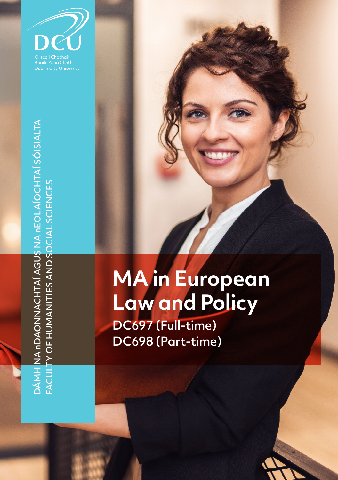

# **MA in European Law and Policy**

DC697 (Full-time) DC698 (Part-time)